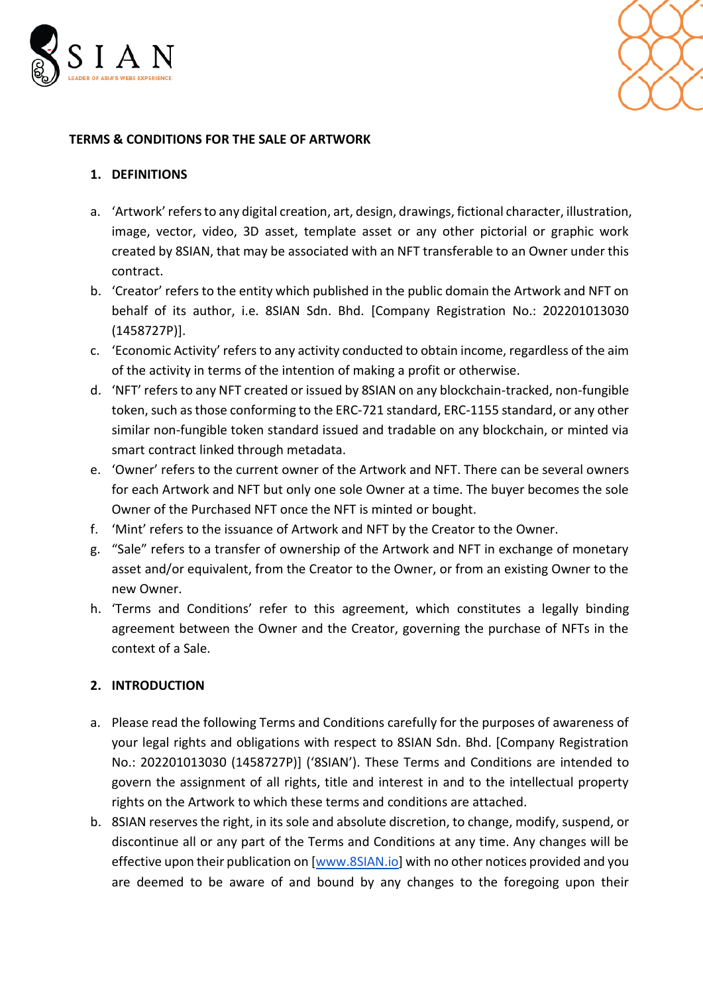



### **TERMS & CONDITIONS FOR THE SALE OF ARTWORK**

### **1. DEFINITIONS**

- a. 'Artwork' refers to any digital creation, art, design, drawings, fictional character, illustration, image, vector, video, 3D asset, template asset or any other pictorial or graphic work created by 8SIAN, that may be associated with an NFT transferable to an Owner under this contract.
- b. 'Creator' refers to the entity which published in the public domain the Artwork and NFT on behalf of its author, i.e. 8SIAN Sdn. Bhd. [Company Registration No.: 202201013030 (1458727P)].
- c. 'Economic Activity' refers to any activity conducted to obtain income, regardless of the aim of the activity in terms of the intention of making a profit or otherwise.
- d. 'NFT' refers to any NFT created or issued by 8SIAN on any blockchain-tracked, non-fungible token, such as those conforming to the ERC-721 standard, ERC-1155 standard, or any other similar non-fungible token standard issued and tradable on any blockchain, or minted via smart contract linked through metadata.
- e. 'Owner' refers to the current owner of the Artwork and NFT. There can be several owners for each Artwork and NFT but only one sole Owner at a time. The buyer becomes the sole Owner of the Purchased NFT once the NFT is minted or bought.
- f. 'Mint' refers to the issuance of Artwork and NFT by the Creator to the Owner.
- g. "Sale" refers to a transfer of ownership of the Artwork and NFT in exchange of monetary asset and/or equivalent, from the Creator to the Owner, or from an existing Owner to the new Owner.
- h. 'Terms and Conditions' refer to this agreement, which constitutes a legally binding agreement between the Owner and the Creator, governing the purchase of NFTs in the context of a Sale.

## **2. INTRODUCTION**

- a. Please read the following Terms and Conditions carefully for the purposes of awareness of your legal rights and obligations with respect to 8SIAN Sdn. Bhd. [Company Registration No.: 202201013030 (1458727P)] ('8SIAN'). These Terms and Conditions are intended to govern the assignment of all rights, title and interest in and to the intellectual property rights on the Artwork to which these terms and conditions are attached.
- b. 8SIAN reserves the right, in its sole and absolute discretion, to change, modify, suspend, or discontinue all or any part of the Terms and Conditions at any time. Any changes will be effective upon their publication on [\[www.8SIAN.i](http://www.8sian.com/)o] with no other notices provided and you are deemed to be aware of and bound by any changes to the foregoing upon their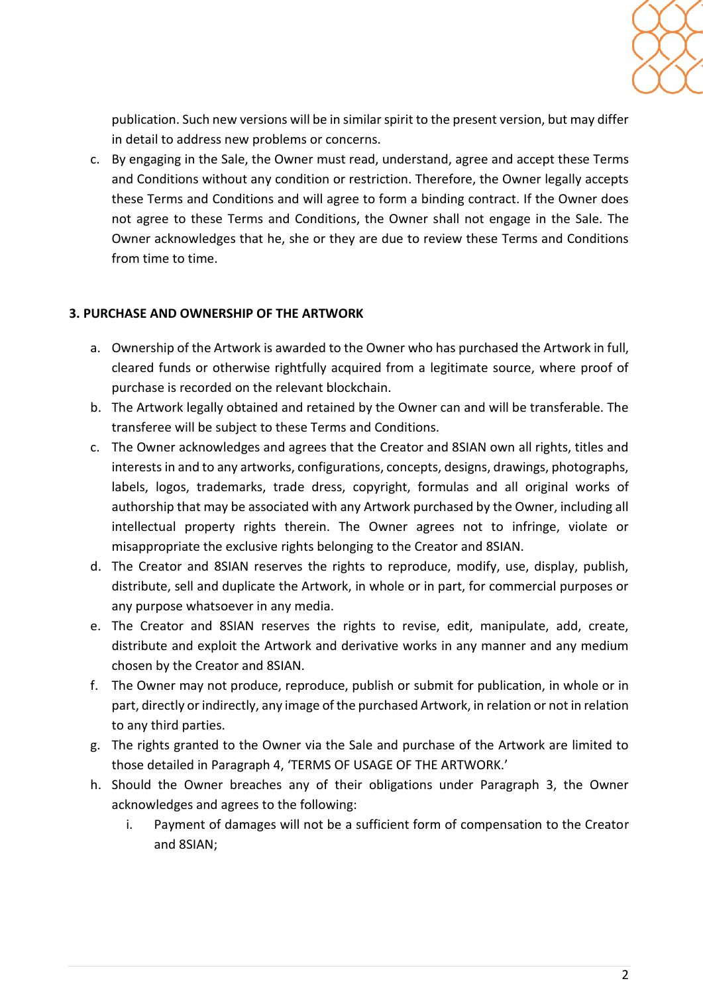

publication. Such new versions will be in similar spirit to the present version, but may differ in detail to address new problems or concerns.

c. By engaging in the Sale, the Owner must read, understand, agree and accept these Terms and Conditions without any condition or restriction. Therefore, the Owner legally accepts these Terms and Conditions and will agree to form a binding contract. If the Owner does not agree to these Terms and Conditions, the Owner shall not engage in the Sale. The Owner acknowledges that he, she or they are due to review these Terms and Conditions from time to time.

## **3. PURCHASE AND OWNERSHIP OF THE ARTWORK**

- a. Ownership of the Artwork is awarded to the Owner who has purchased the Artwork in full, cleared funds or otherwise rightfully acquired from a legitimate source, where proof of purchase is recorded on the relevant blockchain.
- b. The Artwork legally obtained and retained by the Owner can and will be transferable. The transferee will be subject to these Terms and Conditions.
- c. The Owner acknowledges and agrees that the Creator and 8SIAN own all rights, titles and interests in and to any artworks, configurations, concepts, designs, drawings, photographs, labels, logos, trademarks, trade dress, copyright, formulas and all original works of authorship that may be associated with any Artwork purchased by the Owner, including all intellectual property rights therein. The Owner agrees not to infringe, violate or misappropriate the exclusive rights belonging to the Creator and 8SIAN.
- d. The Creator and 8SIAN reserves the rights to reproduce, modify, use, display, publish, distribute, sell and duplicate the Artwork, in whole or in part, for commercial purposes or any purpose whatsoever in any media.
- e. The Creator and 8SIAN reserves the rights to revise, edit, manipulate, add, create, distribute and exploit the Artwork and derivative works in any manner and any medium chosen by the Creator and 8SIAN.
- f. The Owner may not produce, reproduce, publish or submit for publication, in whole or in part, directly or indirectly, any image of the purchased Artwork, in relation or not in relation to any third parties.
- g. The rights granted to the Owner via the Sale and purchase of the Artwork are limited to those detailed in Paragraph 4, 'TERMS OF USAGE OF THE ARTWORK.'
- h. Should the Owner breaches any of their obligations under Paragraph 3, the Owner acknowledges and agrees to the following:
	- i. Payment of damages will not be a sufficient form of compensation to the Creator and 8SIAN;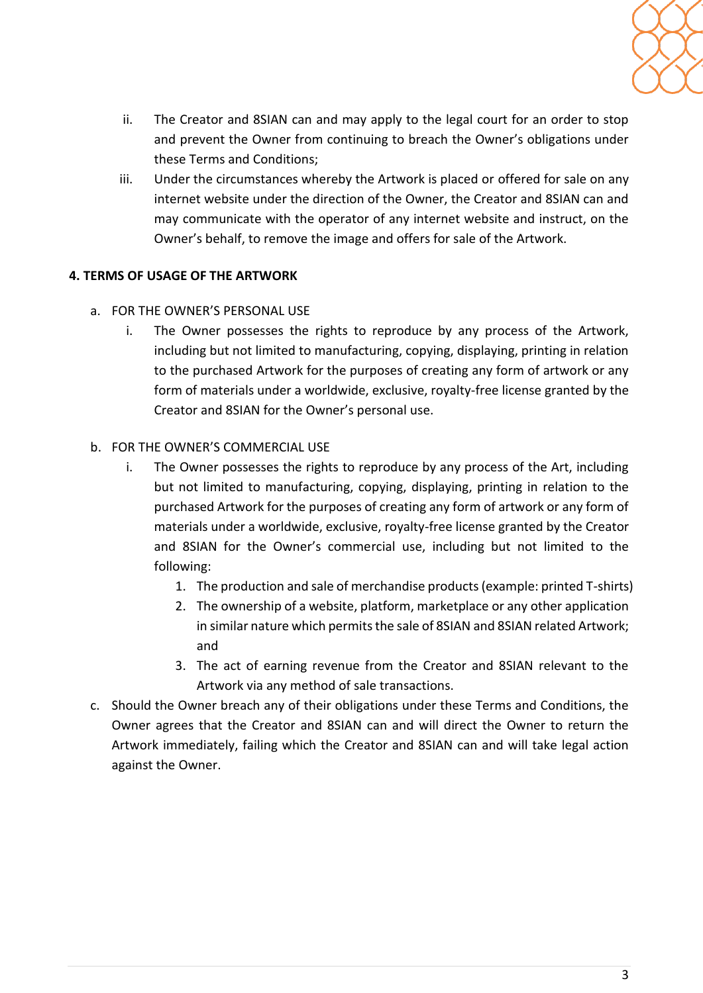

- ii. The Creator and 8SIAN can and may apply to the legal court for an order to stop and prevent the Owner from continuing to breach the Owner's obligations under these Terms and Conditions;
- iii. Under the circumstances whereby the Artwork is placed or offered for sale on any internet website under the direction of the Owner, the Creator and 8SIAN can and may communicate with the operator of any internet website and instruct, on the Owner's behalf, to remove the image and offers for sale of the Artwork.

# **4. TERMS OF USAGE OF THE ARTWORK**

- a. FOR THE OWNER'S PERSONAL USE
	- i. The Owner possesses the rights to reproduce by any process of the Artwork, including but not limited to manufacturing, copying, displaying, printing in relation to the purchased Artwork for the purposes of creating any form of artwork or any form of materials under a worldwide, exclusive, royalty-free license granted by the Creator and 8SIAN for the Owner's personal use.

# b. FOR THE OWNER'S COMMERCIAL USE

- i. The Owner possesses the rights to reproduce by any process of the Art, including but not limited to manufacturing, copying, displaying, printing in relation to the purchased Artwork for the purposes of creating any form of artwork or any form of materials under a worldwide, exclusive, royalty-free license granted by the Creator and 8SIAN for the Owner's commercial use, including but not limited to the following:
	- 1. The production and sale of merchandise products (example: printed T-shirts)
	- 2. The ownership of a website, platform, marketplace or any other application in similar nature which permits the sale of 8SIAN and 8SIAN related Artwork; and
	- 3. The act of earning revenue from the Creator and 8SIAN relevant to the Artwork via any method of sale transactions.
- c. Should the Owner breach any of their obligations under these Terms and Conditions, the Owner agrees that the Creator and 8SIAN can and will direct the Owner to return the Artwork immediately, failing which the Creator and 8SIAN can and will take legal action against the Owner.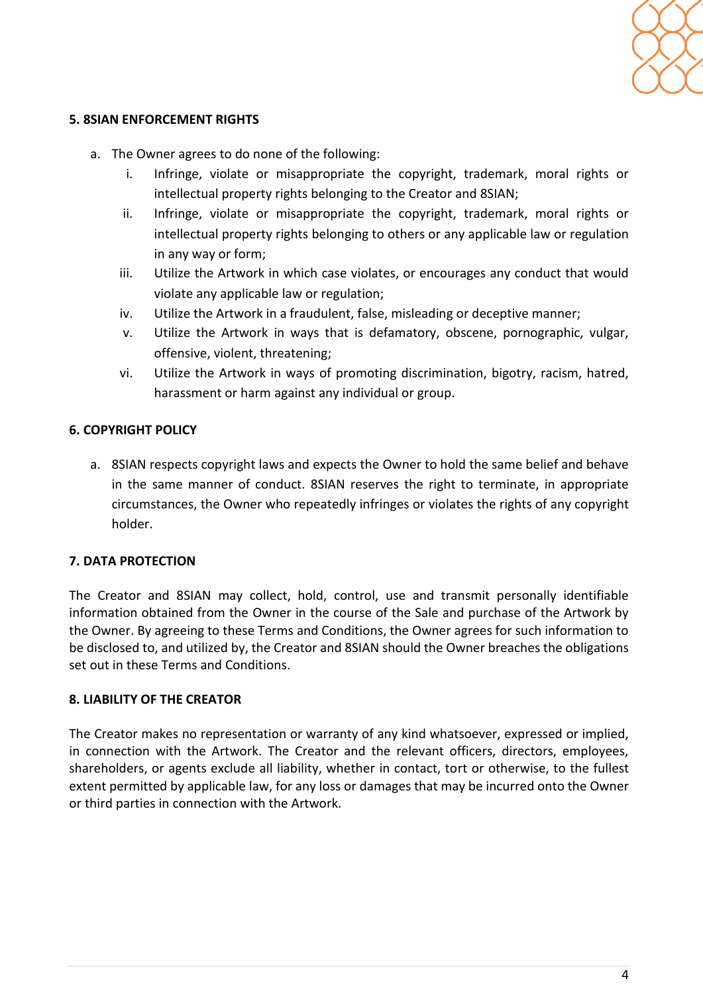

### **5. 8SIAN ENFORCEMENT RIGHTS**

- a. The Owner agrees to do none of the following:
	- i. Infringe, violate or misappropriate the copyright, trademark, moral rights or intellectual property rights belonging to the Creator and 8SIAN;
	- ii. Infringe, violate or misappropriate the copyright, trademark, moral rights or intellectual property rights belonging to others or any applicable law or regulation in any way or form;
	- iii. Utilize the Artwork in which case violates, or encourages any conduct that would violate any applicable law or regulation;
	- iv. Utilize the Artwork in a fraudulent, false, misleading or deceptive manner;
	- v. Utilize the Artwork in ways that is defamatory, obscene, pornographic, vulgar, offensive, violent, threatening;
	- vi. Utilize the Artwork in ways of promoting discrimination, bigotry, racism, hatred, harassment or harm against any individual or group.

#### **6. COPYRIGHT POLICY**

a. 8SIAN respects copyright laws and expects the Owner to hold the same belief and behave in the same manner of conduct. 8SIAN reserves the right to terminate, in appropriate circumstances, the Owner who repeatedly infringes or violates the rights of any copyright holder.

#### **7. DATA PROTECTION**

The Creator and 8SIAN may collect, hold, control, use and transmit personally identifiable information obtained from the Owner in the course of the Sale and purchase of the Artwork by the Owner. By agreeing to these Terms and Conditions, the Owner agrees for such information to be disclosed to, and utilized by, the Creator and 8SIAN should the Owner breaches the obligations set out in these Terms and Conditions.

#### **8. LIABILITY OF THE CREATOR**

The Creator makes no representation or warranty of any kind whatsoever, expressed or implied, in connection with the Artwork. The Creator and the relevant officers, directors, employees, shareholders, or agents exclude all liability, whether in contact, tort or otherwise, to the fullest extent permitted by applicable law, for any loss or damages that may be incurred onto the Owner or third parties in connection with the Artwork.